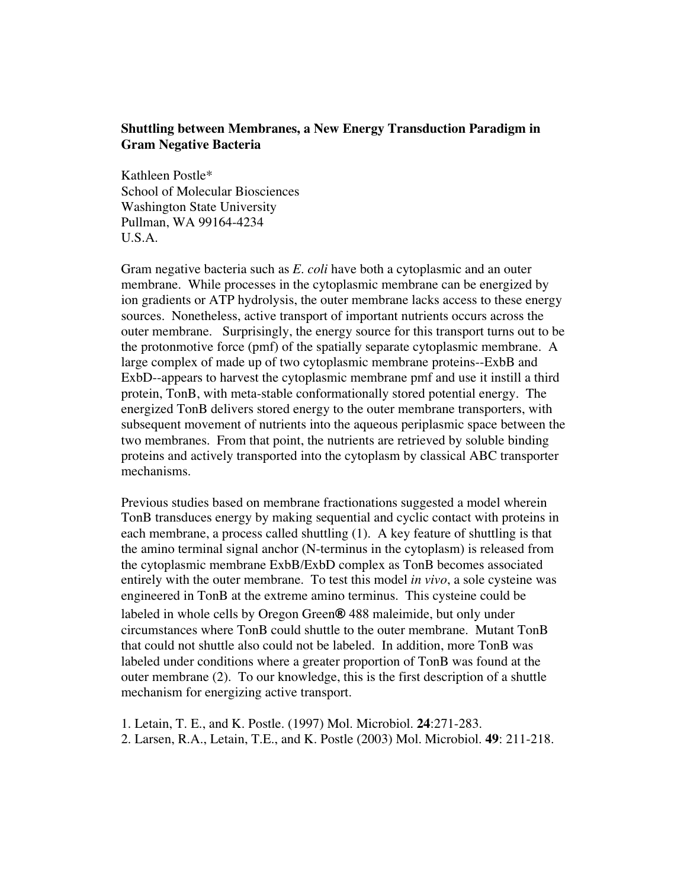## **Shuttling between Membranes, a New Energy Transduction Paradigm in Gram Negative Bacteria**

Kathleen Postle\* School of Molecular Biosciences Washington State University Pullman, WA 99164-4234 U.S.A.

Gram negative bacteria such as *E. coli* have both a cytoplasmic and an outer membrane. While processes in the cytoplasmic membrane can be energized by ion gradients or ATP hydrolysis, the outer membrane lacks access to these energy sources. Nonetheless, active transport of important nutrients occurs across the outer membrane. Surprisingly, the energy source for this transport turns out to be the protonmotive force (pmf) of the spatially separate cytoplasmic membrane. A large complex of made up of two cytoplasmic membrane proteins--ExbB and ExbD--appears to harvest the cytoplasmic membrane pmf and use it instill a third protein, TonB, with meta-stable conformationally stored potential energy. The energized TonB delivers stored energy to the outer membrane transporters, with subsequent movement of nutrients into the aqueous periplasmic space between the two membranes. From that point, the nutrients are retrieved by soluble binding proteins and actively transported into the cytoplasm by classical ABC transporter mechanisms.

Previous studies based on membrane fractionations suggested a model wherein TonB transduces energy by making sequential and cyclic contact with proteins in each membrane, a process called shuttling (1). A key feature of shuttling is that the amino terminal signal anchor (N-terminus in the cytoplasm) is released from the cytoplasmic membrane ExbB/ExbD complex as TonB becomes associated entirely with the outer membrane. To test this model *in vivo*, a sole cysteine was engineered in TonB at the extreme amino terminus. This cysteine could be labeled in whole cells by Oregon Green® 488 maleimide, but only under circumstances where TonB could shuttle to the outer membrane. Mutant TonB that could not shuttle also could not be labeled. In addition, more TonB was labeled under conditions where a greater proportion of TonB was found at the outer membrane (2). To our knowledge, this is the first description of a shuttle mechanism for energizing active transport.

1. Letain, T. E., and K. Postle. (1997) Mol. Microbiol. **24**:271-283. 2. Larsen, R.A., Letain, T.E., and K. Postle (2003) Mol. Microbiol. **49**: 211-218.